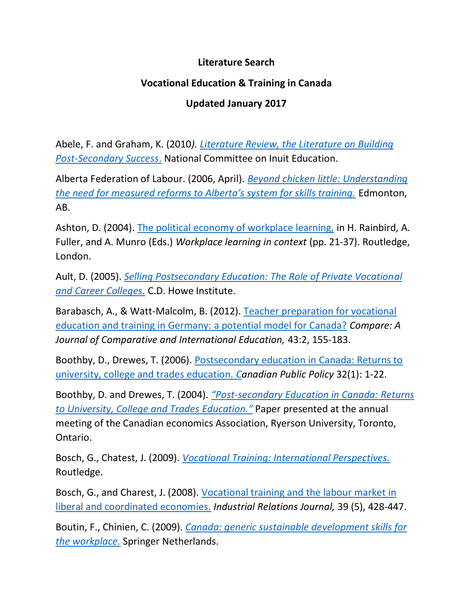## **Literature Search**

## **Vocational Education & Training in Canada**

## **Updated January 2017**

Abele, F. and Graham, K. (2010*). [Literature Review, the Literature on Building](Literature%20Review,%20the%20Literature%20on%20Building%20Post-Secondary)  [Post-Secondary Success](Literature%20Review,%20the%20Literature%20on%20Building%20Post-Secondary)*. National Committee on Inuit Education.

Alberta Federation of Labour. (2006, April). *Beyond [chicken little: Understanding](http://www.afl.org/beyond_chicken_little_understanding_the_need_for_measured_reforms_to_alberta_s_system_for_skills_training)  [the need for measured reforms to Alberta's system for skills training.](http://www.afl.org/beyond_chicken_little_understanding_the_need_for_measured_reforms_to_alberta_s_system_for_skills_training)* Edmonton, AB.

Ashton, D. (2004). [The political economy of workplace learning,](https://lra.le.ac.uk/handle/2381/3505) in H. Rainbird, A. Fuller, and A. Munro (Eds.) *Workplace learning in context* (pp. 21-37). Routledge, London.

Ault, D. (2005). *[Selling Postsecondary Education: The Role of Private Vocational](http://www.torontopubliclibrary.ca/detail.jsp?Entt=RDM1754424&R=1754424)  [and Career Colleges.](http://www.torontopubliclibrary.ca/detail.jsp?Entt=RDM1754424&R=1754424)* C.D. Howe Institute.

Barabasch, A., & Watt-Malcolm, B. (2012). [Teacher preparation for vocational](http://www.tandfonline.com/doi/abs/10.1080/03057925.2012.661216?journalCode=ccom20)  [education and training in Germany: a potential model for Canada?](http://www.tandfonline.com/doi/abs/10.1080/03057925.2012.661216?journalCode=ccom20) *Compare: A Journal of Comparative and International Education,* 43:2, 155-183.

Boothby, D., Drewes, T. (2006). [Postsecondary education in Canada: Returns to](https://www.jstor.org/stable/3552240?seq=1#page_scan_tab_contents)  [university, college and trades education.](https://www.jstor.org/stable/3552240?seq=1#page_scan_tab_contents) *Canadian Public Policy* 32(1): 1-22.

Boothby, D. and Drewes, T. (2004). *"Post[-secondary Education in Canada:](https://www.jstor.org/stable/3552240?seq=1#page_scan_tab_contents) Returns [to University, College](https://www.jstor.org/stable/3552240?seq=1#page_scan_tab_contents) and Trades Education."* Paper presented at the annual meeting of the Canadian economics Association, Ryerson University, Toronto, Ontario.

Bosch, G., Chatest, J. (2009). *[Vocational Training: International Perspectives.](https://www.amazon.ca/Vocational-Training-International-Gerhard-Bosch/dp/1138959758)* Routledge.

Bosch, G., and Charest, J. (2008). [Vocational training and](http://onlinelibrary.wiley.com/doi/10.1111/j.1468-2338.2008.00497.x/abstract) the labour market in [liberal and coordinated economies.](http://onlinelibrary.wiley.com/doi/10.1111/j.1468-2338.2008.00497.x/abstract) *Industrial Relations Journal,* 39 (5), 428-447.

Boutin, F., Chinien, C. (2009). *[Canada: generic sustainable development skills for](http://link.springer.com/chapter/10.1007/978-1-4020-8194-1_21#page-1)  [the workplace.](http://link.springer.com/chapter/10.1007/978-1-4020-8194-1_21#page-1)* Springer Netherlands.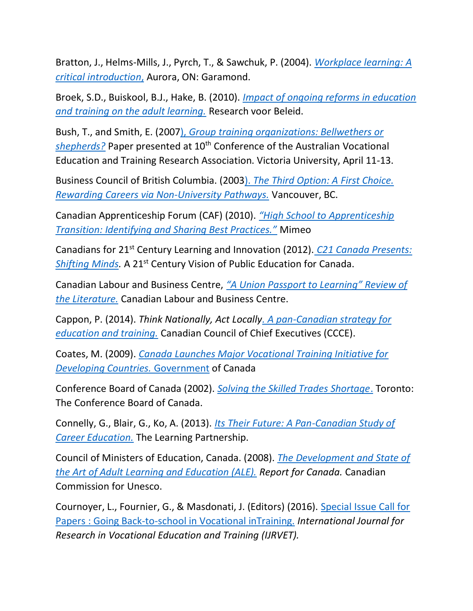Bratton, J., Helms-Mills, J., Pyrch, T., & Sawchuk, P. (2004). *[Workplace learning: A](http://www.utppublishing.com/Workplace-Learning-A-Critical-Introduction.html)  [critical introduction](http://www.utppublishing.com/Workplace-Learning-A-Critical-Introduction.html)*, Aurora, ON: Garamond.

Broek, S.D., Buiskool, B.J., Hake, B. (2010). *[Impact of ongoing reforms in education](http://bookshop.europa.eu/en/impact-of-ongoing-reforms-in-education-and-training-on-the-adult-learning-sector-pbNC0213071/)  [and training on the adult learning.](http://bookshop.europa.eu/en/impact-of-ongoing-reforms-in-education-and-training-on-the-adult-learning-sector-pbNC0213071/)* Research voor Beleid.

Bush, T., and Smith, E. (2007), *[Group training organizations: Bellwethers or](https://avetra.org.au/documents/22-Smith.pdf)*  [shepherds?](https://avetra.org.au/documents/22-Smith.pdf) Paper presented at 10<sup>th</sup> Conference of the Australian Vocational Education and Training Research Association. Victoria University, April 11-13.

Business Council of British Columbia. (2003). *[The Third Option: A First Choice.](https://vpl.bibliocommons.com/item/show/1050675038_the_third_option,_a_first_choice)  [Rewarding Careers via Non-University Pathways.](https://vpl.bibliocommons.com/item/show/1050675038_the_third_option,_a_first_choice)* Vancouver, BC.

Canadian Apprenticeship Forum (CAF) (2010). *["High School to](http://www.newswire.ca/news-releases/high-school-to-apprenticeship-transition-539833632.html) Apprenticeship [Transition: Identifying and Sharing Best Practices."](http://www.newswire.ca/news-releases/high-school-to-apprenticeship-transition-539833632.html)* Mimeo

Canadians for 21st Century Learning and Innovation (2012). *[C21 Canada Presents:](http://www.c21canada.org/wp-content/uploads/2015/05/C21-ShiftingMinds-3.pdf)  [Shifting Minds.](http://www.c21canada.org/wp-content/uploads/2015/05/C21-ShiftingMinds-3.pdf) A 21<sup>st</sup> Century Vision of Public Education for Canada.* 

Canadian Labour and Business Centre, *["A Union Passport to Learning" Review of](http://learninginsolidarity.ca/resource/a-union-passport-to-learning-review-of-the-literature/)  [the Literature.](http://learninginsolidarity.ca/resource/a-union-passport-to-learning-review-of-the-literature/)* Canadian Labour and Business Centre.

Cappon, P. (2014). *Think Nationally, Act Locall[y. A pan-Canadian strategy for](Think%20Nationally,%20Act%20Locally.%20A%20pan-Canadian%20strategy%20for%20education%20and)  [education and training.](Think%20Nationally,%20Act%20Locally.%20A%20pan-Canadian%20strategy%20for%20education%20and)* Canadian Council of Chief Executives (CCCE).

Coates, M. (2009). *[Canada Launches Major Vocational Training Initiative for](http://www.acdi-cida.gc.ca/acdi-cida/acdi-cida.nsf/eng/NAT-3691851-JSU)  [Developing Countries.](http://www.acdi-cida.gc.ca/acdi-cida/acdi-cida.nsf/eng/NAT-3691851-JSU)* Government of Canada

Conference Board of Canada (2002). *[Solving the Skilled Trades Shortage](http://www.conferenceboard.ca/Libraries/EDUC_PUBLIC/Skilled_trades.sflb)*. Toronto: The Conference Board of Canada.

Connelly, G., Blair, G., Ko, A. (2013). *[Its Their Future: A Pan-Canadian Study of](https://www.google.ca/webhp?sourceid=chrome-instant&rlz=1C1CHBF_enCA693CA693&ion=1&espv=2&ie=UTF-8#q=its%20their%20future%3A%20a%20pan-canadian)  [Career Education.](https://www.google.ca/webhp?sourceid=chrome-instant&rlz=1C1CHBF_enCA693CA693&ion=1&espv=2&ie=UTF-8#q=its%20their%20future%3A%20a%20pan-canadian)* The Learning Partnership.

Council of Ministers of Education, Canada. (2008). *[The Development and State of](http://cmec.ca/Publications/Lists/Publications/Attachments/194/FINAL%20CONFINTEA%20VI%20en.pdf)  [the Art of Adult Learning and Education \(ALE\).](http://cmec.ca/Publications/Lists/Publications/Attachments/194/FINAL%20CONFINTEA%20VI%20en.pdf) Report for Canada.* Canadian Commission for Unesco.

Cournoyer, L., Fournier, G., & Masdonati, J. (Editors) (2016). [Special Issue Call for](http://www.ijrvet.net/files/IJRVET_Call_for_Papers_02.pdf)  Papers [: Going Back-to-school in Vocational inTraining.](http://www.ijrvet.net/files/IJRVET_Call_for_Papers_02.pdf) *International Journal for Research in Vocational Education and Training (IJRVET).*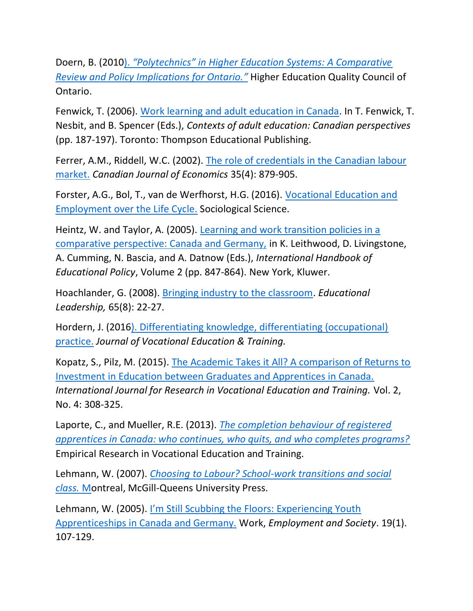Doern, B. (2010). *["Polytechnics" in Higher Education Systems: A Comparative](http://www.heqco.ca/SiteCollectionDocuments/Polytechnics%20in%20Higher%20Education%20Systems_A%20Comparative%20Review%20and%20Policy%20Implications%20for%20Ontario.pdf)  [Review and Policy Implications for Ontario.](http://www.heqco.ca/SiteCollectionDocuments/Polytechnics%20in%20Higher%20Education%20Systems_A%20Comparative%20Review%20and%20Policy%20Implications%20for%20Ontario.pdf)"* Higher Education Quality Council of Ontario.

Fenwick, T. (2006). [Work learning and adult education in Canada.](http://www.stir.ac.uk/research/hub/publication/18073) In T. Fenwick, T. Nesbit, and B. Spencer (Eds.), *Contexts of adult education: Canadian perspectives* (pp. 187-197). Toronto: Thompson Educational Publishing.

Ferrer, A.M., Riddell, W.C. (2002). [The role of credentials in the Canadian labour](http://www.wallnetwork.ca/resources/Heinz&Taylor_Springerbook.pdf)  [market.](http://www.wallnetwork.ca/resources/Heinz&Taylor_Springerbook.pdf) *Canadian Journal of Economics* 35(4): 879-905.

Forster, A.G., Bol, T., van de Werfhorst, H.G. (2016). [Vocational Education and](https://www.sociologicalscience.com/articles-v3-21-473/)  [Employment over the Life Cycle.](https://www.sociologicalscience.com/articles-v3-21-473/) Sociological Science.

Heintz, W. and Taylor, A. (2005). Learning [and work transition policies in a](http://www.wallnetwork.ca/resources/Heinz&Taylor_Springerbook.pdf)  [comparative perspective: Canada and Germany,](http://www.wallnetwork.ca/resources/Heinz&Taylor_Springerbook.pdf) in K. Leithwood, D. Livingstone, A. Cumming, N. Bascia, and A. Datnow (Eds.), *International Handbook of Educational Policy*, Volume 2 (pp. 847-864). New York, Kluwer.

Hoachlander, G. (2008). [Bringing industry to the classroom.](http://www.ascd.org/publications/educational-leadership/may08/vol65/num08/Bringing-Industry-to-the-Classroom.aspx) *Educational Leadership,* 65(8): 22-27.

Hordern, J. (201[6\). Differentiating knowledge, differentiating \(occupational\)](http://www.tandfonline.com/doi/abs/10.1080/13636820.2016.1234506)  [practice.](http://www.tandfonline.com/doi/abs/10.1080/13636820.2016.1234506) *Journal of Vocational Education & Training.* 

Kopatz, S., Pilz, M. (2015). [The Academic Takes it All? A comparison of Returns to](http://www.ijrvet.net/index.php/IJRVET/article/view/118)  [Investment in Education between Graduates and Apprentices in Canada.](http://www.ijrvet.net/index.php/IJRVET/article/view/118) *International Journal for Research in Vocational Education and Training.* Vol. 2, No. 4: 308-325.

Laporte, C., and Mueller, R.E. (2013). *[The completion behaviour of registered](http://www.statcan.gc.ca/pub/11f0019m/11f0019m2011333-eng.htm)  [apprentices in Canada: who continues, who quits, and who completes programs?](http://www.statcan.gc.ca/pub/11f0019m/11f0019m2011333-eng.htm)* Empirical Research in Vocational Education and Training.

Lehmann, W. (2007). *[Choosing to Labour? School-work transitions and social](https://www.amazon.ca/Choosing-Labour-School-Work-Transitions-Social/dp/0773533060)  [class.](https://www.amazon.ca/Choosing-Labour-School-Work-Transitions-Social/dp/0773533060)* Montreal, McGill-Queens University Press.

Lehmann, W. (2005). [I'm Still Scubbing the Floors: Experiencing Youth](http://journals.sagepub.com/doi/abs/10.1177/0950017005051298)  [Apprenticeships in Canada and Germany.](http://journals.sagepub.com/doi/abs/10.1177/0950017005051298) Work, *Employment and Society*. 19(1). 107-129.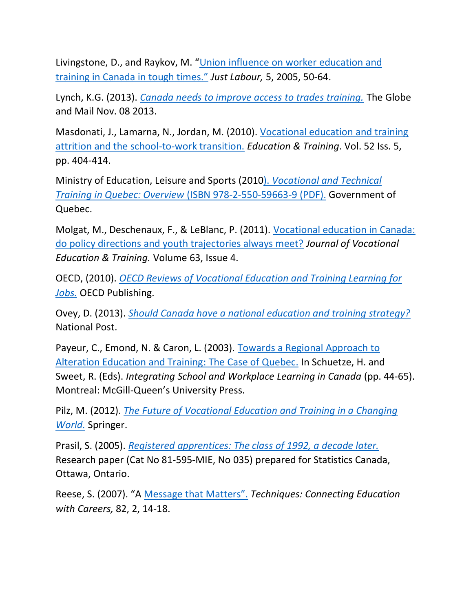Livingstone, D., and Raykov, M. "[Union influence on worker education and](http://www.justlabour.yorku.ca/Livingstone_Raykov.pdf)  [training in Canada in tough times."](http://www.justlabour.yorku.ca/Livingstone_Raykov.pdf) *Just Labour,* 5, 2005, 50-64.

Lynch, K.G. (2013). *[Canada needs to improve access to trades training.](http://www.theglobeandmail.com/news/national/time-to-lead/canada-needs-to-improve-access-to-trades-training/article15357614/)* The Globe and Mail Nov. 08 2013.

Masdonati, J., Lamarna, N., Jordan, M. (2010). [Vocational education and training](Vocational%20education%20and%20training%20attrition%20and)  [attrition and the school-to-work transition.](Vocational%20education%20and%20training%20attrition%20and) *Education & Training*. Vol. 52 Iss. 5, pp. 404-414.

Ministry of Education, Leisure and Sports (2010). *[Vocational and Technical](http://www3.education.gouv.qc.ca/fpt/Bibliotheque/17-9828A.pdf)  Training in Quebec: Overview* [\(ISBN 978-2-550-59663-9 \(PDF\).](http://www3.education.gouv.qc.ca/fpt/Bibliotheque/17-9828A.pdf) Government of Quebec.

Molgat, M., Deschenaux, F., & LeBlanc, P. (2011). [Vocational education in Canada:](http://www.tandfonline.com/doi/abs/10.1080/13636820.2011.580361)  [do policy directions and youth trajectories always meet?](http://www.tandfonline.com/doi/abs/10.1080/13636820.2011.580361) *Journal of Vocational Education & Training.* Volume 63, Issue 4.

OECD, (2010). *[OECD Reviews of Vocational Education and Training Learning for](https://www.oecd.org/edu/skills-beyond-school/LearningForJobsPointersfor%20PolicyDevelopment.pdf)  [Jobs.](https://www.oecd.org/edu/skills-beyond-school/LearningForJobsPointersfor%20PolicyDevelopment.pdf)* OECD Publishing.

Ovey, D. (2013). *[Should Canada have a national education and training strategy?](http://business.financialpost.com/executive/should-canada-have-a-national-education-and-training-strategy)* National Post.

Payeur, C., Emond, N. & Caron, L. (2003). [Towards a Regional Approach to](Towards%20a%20Regional%20Approach%20to%20Alteration%20Education)  [Alteration Education and Training: The Case of Quebec.](Towards%20a%20Regional%20Approach%20to%20Alteration%20Education) In Schuetze, H. and Sweet, R. (Eds). *Integrating School and Workplace Learning in Canada* (pp. 44-65). Montreal: McGill-Queen's University Press.

Pilz, M. (2012). *[The Future of Vocational Education and Training in a Changing](http://www.springer.com/gp/book/9783531185279)  [World.](http://www.springer.com/gp/book/9783531185279)* Springer.

Prasil, S. (2005). *[Registered apprentices: The class of 1992, a decade later.](http://www.statcan.gc.ca/pub/81-595-m/81-595-m2005035-eng.pdf)* Research paper (Cat No 81-595-MIE, No 035) prepared for Statistics Canada, Ottawa, Ontario.

Reese, S. (2007). "A Message that Matters". *Techniques: Connecting Education with Careers,* 82, 2, 14-18.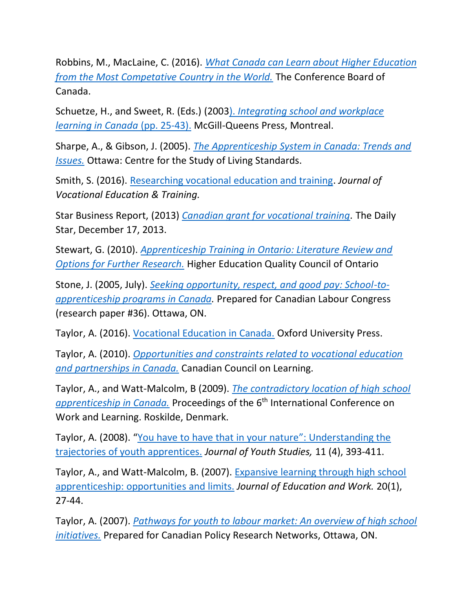Robbins, M., MacLaine, C. (2016). *[What Canada can Learn about Higher Education](http://www.conferenceboard.ca/topics/education/commentaries/16-02-02/what_canada_can_learn_about_higher_education_from_the_most_competitive_country_in_the_world.aspx)  [from the Most Competative Country in the World.](http://www.conferenceboard.ca/topics/education/commentaries/16-02-02/what_canada_can_learn_about_higher_education_from_the_most_competitive_country_in_the_world.aspx)* The Conference Board of Canada.

Schuetze, H., and Sweet, R. (Eds.) (2003). *[Integrating school and workplace](http://www.mqup.ca/integrating-school-and-workplace-learning-in-canada-products-9780773524545.php)  [learning in Canada](http://www.mqup.ca/integrating-school-and-workplace-learning-in-canada-products-9780773524545.php)* (pp. 25-43). McGill-Queens Press, Montreal.

Sharpe, A., & Gibson, J. (2005). *[The Apprenticeship System in Canada: Trends and](http://dmfenergy.com/wp-content/uploads/2013/09/The-Apprenticeship-System-in-Canada-Trends-and-Issues.pdf)  [Issues.](http://dmfenergy.com/wp-content/uploads/2013/09/The-Apprenticeship-System-in-Canada-Trends-and-Issues.pdf)* Ottawa: Centre for the Study of Living Standards.

Smith, S. (2016). [Researching vocational education and training.](http://www.tandfonline.com/toc/rjve20/current) *Journal of Vocational Education & Training.*

Star Business Report, (2013) *[Canadian grant for vocational training.](Canadian%20grant%20for%20vocational%20training)* The Daily Star, December 17, 2013.

Stewart, G. (2010). *[Apprenticeship Training in Ontario: Literature Review and](http://www.heqco.ca/SiteCollectionDocuments/Apprenticeship%20ENG.pdf)  [Options for Further Research.](http://www.heqco.ca/SiteCollectionDocuments/Apprenticeship%20ENG.pdf)* Higher Education Quality Council of Ontario

Stone, J. (2005, July). *[Seeking opportunity, respect, and good pay: School-to](https://books1.scholarsportal.info/viewdoc.html?id=30129)[apprenticeship programs in Canada.](https://books1.scholarsportal.info/viewdoc.html?id=30129)* Prepared for Canadian Labour Congress (research paper #36). Ottawa, ON.

Taylor, A. (2016). [Vocational Education in Canada.](http://www.oupcanada.com/catalog/9780199009985.html) Oxford University Press.

Taylor, A. (2010). *[Opportunities and constraints related to vocational education](Opportunities%20and%20constraints%20related%20to%20vocational%20education%20and%20partnerships%20in%20Canada.)  [and partnerships in Canada.](Opportunities%20and%20constraints%20related%20to%20vocational%20education%20and%20partnerships%20in%20Canada.)* Canadian Council on Learning.

Taylor, A., and Watt-Malcolm, B (2009). *[The contradictory location of high](https://eric.ed.gov/?id=EJ895511) school [apprenticeship in Canada.](https://eric.ed.gov/?id=EJ895511)* Proceedings of the 6<sup>th</sup> International Conference on Work and Learning. Roskilde, Denmark.

Taylor, A. (2008). "[You have to have that in your nature](http://www.tandfonline.com/doi/abs/10.1080/13676260802101671)": Understanding the [trajectories of youth apprentices.](http://www.tandfonline.com/doi/abs/10.1080/13676260802101671) *Journal of Youth Studies,* 11 (4), 393-411.

Taylor, A., and Watt-Malcolm, B. (2007). [Expansive learning through high school](https://eric.ed.gov/?id=EJ764453)  [apprenticeship: opportunities and limits.](https://eric.ed.gov/?id=EJ764453) *Journal of Education and Work.* 20(1), 27-44.

Taylor, A. (2007). *[Pathways for youth to labour market: An overview of high school](http://www.cprn.org/documents/50456_EN.pdf)  [initiatives.](http://www.cprn.org/documents/50456_EN.pdf)* Prepared for Canadian Policy Research Networks, Ottawa, ON.